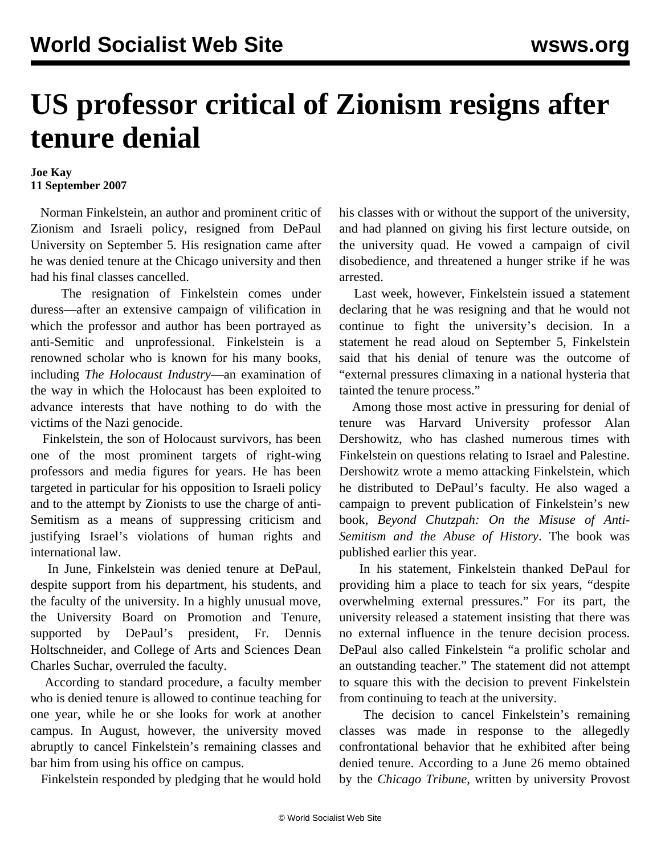## **US professor critical of Zionism resigns after tenure denial**

## **Joe Kay 11 September 2007**

 Norman Finkelstein, an author and prominent critic of Zionism and Israeli policy, resigned from DePaul University on September 5. His resignation came after he was denied tenure at the Chicago university and then had his final classes cancelled.

 The resignation of Finkelstein comes under duress—after an extensive campaign of vilification in which the professor and author has been portrayed as anti-Semitic and unprofessional. Finkelstein is a renowned scholar who is known for his many books, including *The Holocaust Industry*—an examination of the way in which the Holocaust has been exploited to advance interests that have nothing to do with the victims of the Nazi genocide.

 Finkelstein, the son of Holocaust survivors, has been one of the most prominent targets of right-wing professors and media figures for years. He has been targeted in particular for his opposition to Israeli policy and to the attempt by Zionists to use the charge of anti-Semitism as a means of suppressing criticism and justifying Israel's violations of human rights and international law.

 In June, Finkelstein was denied tenure at DePaul, despite support from his department, his students, and the faculty of the university. In a highly unusual move, the University Board on Promotion and Tenure, supported by DePaul's president, Fr. Dennis Holtschneider, and College of Arts and Sciences Dean Charles Suchar, overruled the faculty.

 According to standard procedure, a faculty member who is denied tenure is allowed to continue teaching for one year, while he or she looks for work at another campus. In August, however, the university moved abruptly to cancel Finkelstein's remaining classes and bar him from using his office on campus.

Finkelstein responded by pledging that he would hold

his classes with or without the support of the university, and had planned on giving his first lecture outside, on the university quad. He vowed a campaign of civil disobedience, and threatened a hunger strike if he was arrested.

 Last week, however, Finkelstein issued a statement declaring that he was resigning and that he would not continue to fight the university's decision. In a statement he read aloud on September 5, Finkelstein said that his denial of tenure was the outcome of "external pressures climaxing in a national hysteria that tainted the tenure process."

 Among those most active in pressuring for denial of tenure was Harvard University professor Alan Dershowitz, who has clashed numerous times with Finkelstein on questions relating to Israel and Palestine. Dershowitz wrote a memo attacking Finkelstein, which he distributed to DePaul's faculty. He also waged a campaign to prevent publication of Finkelstein's new book, *Beyond Chutzpah: On the Misuse of Anti-Semitism and the Abuse of History*. The book was published earlier this year.

 In his statement, Finkelstein thanked DePaul for providing him a place to teach for six years, "despite overwhelming external pressures." For its part, the university released a statement insisting that there was no external influence in the tenure decision process. DePaul also called Finkelstein "a prolific scholar and an outstanding teacher." The statement did not attempt to square this with the decision to prevent Finkelstein from continuing to teach at the university.

 The decision to cancel Finkelstein's remaining classes was made in response to the allegedly confrontational behavior that he exhibited after being denied tenure. According to a June 26 memo obtained by the *Chicago Tribune*, written by university Provost